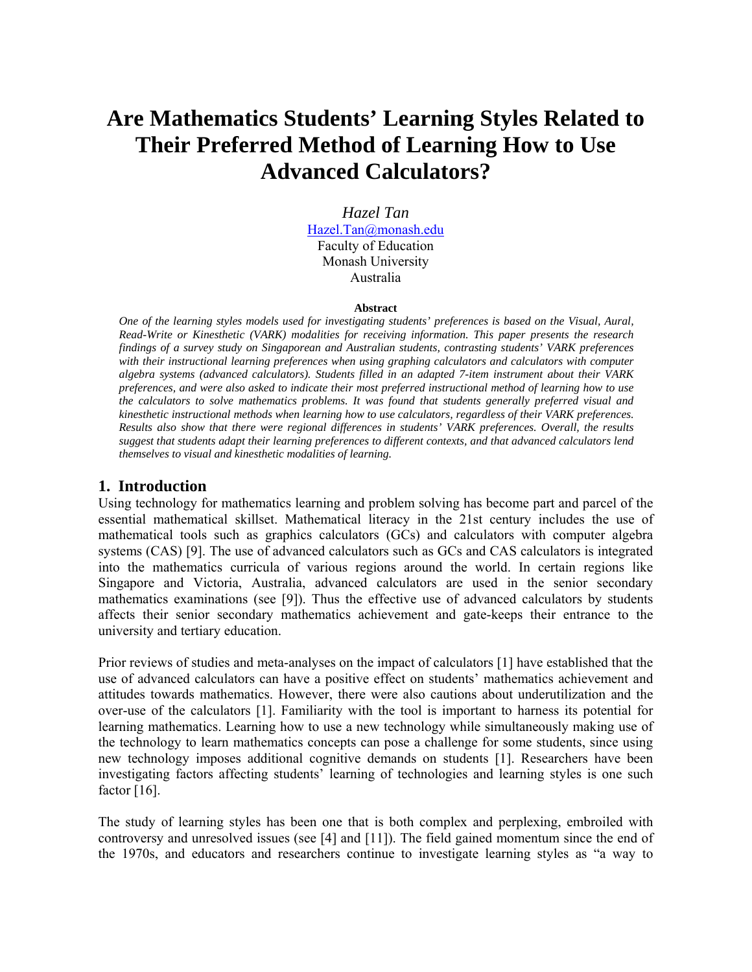# **Are Mathematics Students' Learning Styles Related to Their Preferred Method of Learning How to Use Advanced Calculators?**

*Hazel Tan*  Hazel.Tan@monash.edu Faculty of Education Monash University Australia

#### **Abstract**

*One of the learning styles models used for investigating students' preferences is based on the Visual, Aural, Read-Write or Kinesthetic (VARK) modalities for receiving information. This paper presents the research findings of a survey study on Singaporean and Australian students, contrasting students' VARK preferences with their instructional learning preferences when using graphing calculators and calculators with computer algebra systems (advanced calculators). Students filled in an adapted 7-item instrument about their VARK preferences, and were also asked to indicate their most preferred instructional method of learning how to use the calculators to solve mathematics problems. It was found that students generally preferred visual and kinesthetic instructional methods when learning how to use calculators, regardless of their VARK preferences. Results also show that there were regional differences in students' VARK preferences. Overall, the results suggest that students adapt their learning preferences to different contexts, and that advanced calculators lend themselves to visual and kinesthetic modalities of learning.* 

#### **1. Introduction**

Using technology for mathematics learning and problem solving has become part and parcel of the essential mathematical skillset. Mathematical literacy in the 21st century includes the use of mathematical tools such as graphics calculators (GCs) and calculators with computer algebra systems (CAS) [9]. The use of advanced calculators such as GCs and CAS calculators is integrated into the mathematics curricula of various regions around the world. In certain regions like Singapore and Victoria, Australia, advanced calculators are used in the senior secondary mathematics examinations (see [9]). Thus the effective use of advanced calculators by students affects their senior secondary mathematics achievement and gate-keeps their entrance to the university and tertiary education.

Prior reviews of studies and meta-analyses on the impact of calculators [1] have established that the use of advanced calculators can have a positive effect on students' mathematics achievement and attitudes towards mathematics. However, there were also cautions about underutilization and the over-use of the calculators [1]. Familiarity with the tool is important to harness its potential for learning mathematics. Learning how to use a new technology while simultaneously making use of the technology to learn mathematics concepts can pose a challenge for some students, since using new technology imposes additional cognitive demands on students [1]. Researchers have been investigating factors affecting students' learning of technologies and learning styles is one such factor [16].

The study of learning styles has been one that is both complex and perplexing, embroiled with controversy and unresolved issues (see [4] and [11]). The field gained momentum since the end of the 1970s, and educators and researchers continue to investigate learning styles as "a way to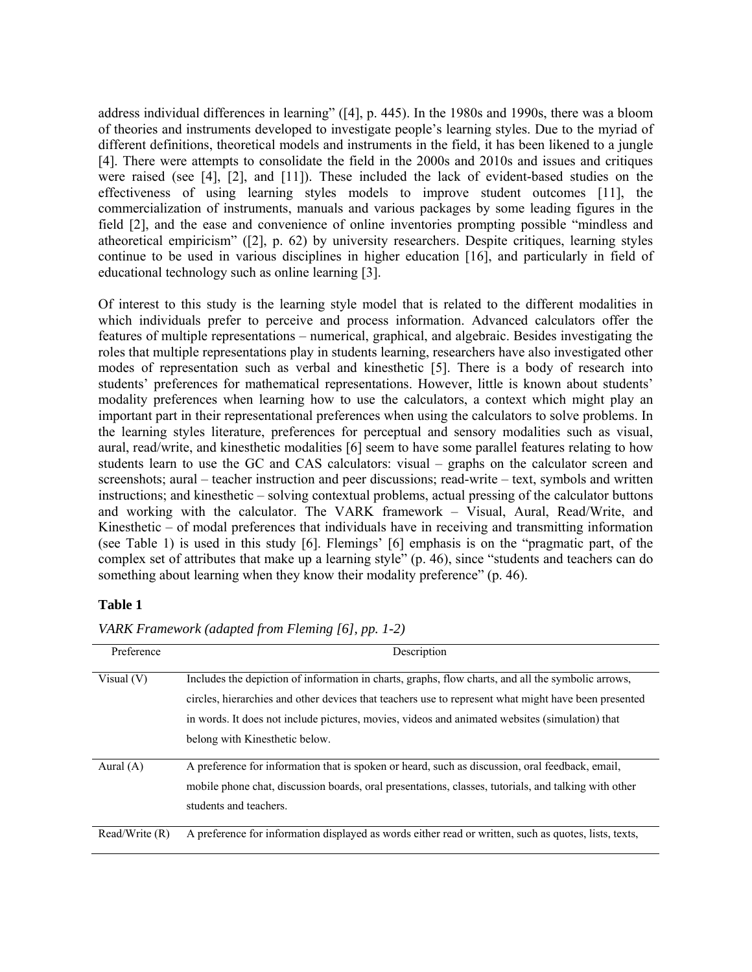address individual differences in learning" ([4], p. 445). In the 1980s and 1990s, there was a bloom of theories and instruments developed to investigate people's learning styles. Due to the myriad of different definitions, theoretical models and instruments in the field, it has been likened to a jungle [4]. There were attempts to consolidate the field in the 2000s and 2010s and issues and critiques were raised (see [4], [2], and [11]). These included the lack of evident-based studies on the effectiveness of using learning styles models to improve student outcomes [11], the commercialization of instruments, manuals and various packages by some leading figures in the field [2], and the ease and convenience of online inventories prompting possible "mindless and atheoretical empiricism" ([2], p. 62) by university researchers. Despite critiques, learning styles continue to be used in various disciplines in higher education [16], and particularly in field of educational technology such as online learning [3].

Of interest to this study is the learning style model that is related to the different modalities in which individuals prefer to perceive and process information. Advanced calculators offer the features of multiple representations – numerical, graphical, and algebraic. Besides investigating the roles that multiple representations play in students learning, researchers have also investigated other modes of representation such as verbal and kinesthetic [5]. There is a body of research into students' preferences for mathematical representations. However, little is known about students' modality preferences when learning how to use the calculators, a context which might play an important part in their representational preferences when using the calculators to solve problems. In the learning styles literature, preferences for perceptual and sensory modalities such as visual, aural, read/write, and kinesthetic modalities [6] seem to have some parallel features relating to how students learn to use the GC and CAS calculators: visual – graphs on the calculator screen and screenshots; aural – teacher instruction and peer discussions; read-write – text, symbols and written instructions; and kinesthetic – solving contextual problems, actual pressing of the calculator buttons and working with the calculator. The VARK framework – Visual, Aural, Read/Write, and Kinesthetic – of modal preferences that individuals have in receiving and transmitting information (see Table 1) is used in this study [6]. Flemings' [6] emphasis is on the "pragmatic part, of the complex set of attributes that make up a learning style" (p. 46), since "students and teachers can do something about learning when they know their modality preference" (p. 46).

#### **Table 1**

| Preference     | Description                                                                                           |  |  |  |  |
|----------------|-------------------------------------------------------------------------------------------------------|--|--|--|--|
|                |                                                                                                       |  |  |  |  |
| Visual $(V)$   | Includes the depiction of information in charts, graphs, flow charts, and all the symbolic arrows,    |  |  |  |  |
|                | circles, hierarchies and other devices that teachers use to represent what might have been presented  |  |  |  |  |
|                | in words. It does not include pictures, movies, videos and animated websites (simulation) that        |  |  |  |  |
|                | belong with Kinesthetic below.                                                                        |  |  |  |  |
|                |                                                                                                       |  |  |  |  |
| Aural $(A)$    | A preference for information that is spoken or heard, such as discussion, oral feedback, email,       |  |  |  |  |
|                | mobile phone chat, discussion boards, oral presentations, classes, tutorials, and talking with other  |  |  |  |  |
|                | students and teachers.                                                                                |  |  |  |  |
|                |                                                                                                       |  |  |  |  |
| Read/Write (R) | A preference for information displayed as words either read or written, such as quotes, lists, texts, |  |  |  |  |

*VARK Framework (adapted from Fleming [6], pp. 1-2)*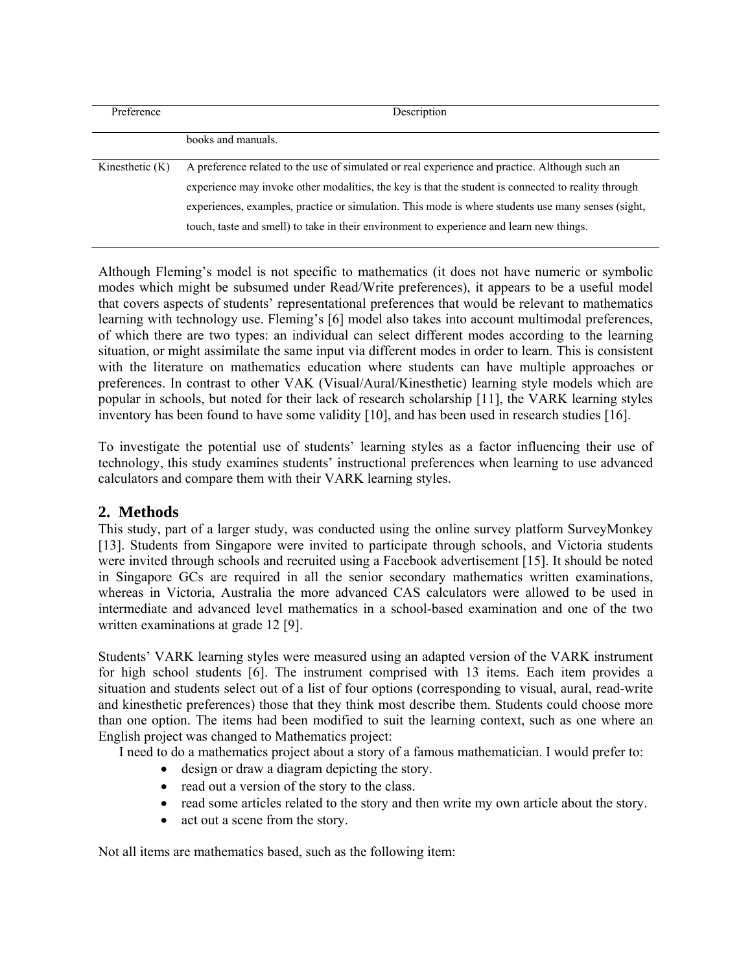| Preference        | Description                                                                                                                                                                                                                                                                                                 |  |  |  |  |
|-------------------|-------------------------------------------------------------------------------------------------------------------------------------------------------------------------------------------------------------------------------------------------------------------------------------------------------------|--|--|--|--|
|                   | books and manuals.                                                                                                                                                                                                                                                                                          |  |  |  |  |
| Kinesthetic $(K)$ | A preference related to the use of simulated or real experience and practice. Although such an<br>experience may invoke other modalities, the key is that the student is connected to reality through<br>experiences, examples, practice or simulation. This mode is where students use many senses (sight, |  |  |  |  |
|                   | touch, taste and smell) to take in their environment to experience and learn new things.                                                                                                                                                                                                                    |  |  |  |  |

Although Fleming's model is not specific to mathematics (it does not have numeric or symbolic modes which might be subsumed under Read/Write preferences), it appears to be a useful model that covers aspects of students' representational preferences that would be relevant to mathematics learning with technology use. Fleming's [6] model also takes into account multimodal preferences, of which there are two types: an individual can select different modes according to the learning situation, or might assimilate the same input via different modes in order to learn. This is consistent with the literature on mathematics education where students can have multiple approaches or preferences. In contrast to other VAK (Visual/Aural/Kinesthetic) learning style models which are popular in schools, but noted for their lack of research scholarship [11], the VARK learning styles inventory has been found to have some validity [10], and has been used in research studies [16].

To investigate the potential use of students' learning styles as a factor influencing their use of technology, this study examines students' instructional preferences when learning to use advanced calculators and compare them with their VARK learning styles.

## **2. Methods**

This study, part of a larger study, was conducted using the online survey platform SurveyMonkey [13]. Students from Singapore were invited to participate through schools, and Victoria students were invited through schools and recruited using a Facebook advertisement [15]. It should be noted in Singapore GCs are required in all the senior secondary mathematics written examinations, whereas in Victoria, Australia the more advanced CAS calculators were allowed to be used in intermediate and advanced level mathematics in a school-based examination and one of the two written examinations at grade 12 [9].

Students' VARK learning styles were measured using an adapted version of the VARK instrument for high school students [6]. The instrument comprised with 13 items. Each item provides a situation and students select out of a list of four options (corresponding to visual, aural, read-write and kinesthetic preferences) those that they think most describe them. Students could choose more than one option. The items had been modified to suit the learning context, such as one where an English project was changed to Mathematics project:

I need to do a mathematics project about a story of a famous mathematician. I would prefer to:

- design or draw a diagram depicting the story.
- read out a version of the story to the class.
- read some articles related to the story and then write my own article about the story.
- act out a scene from the story.

Not all items are mathematics based, such as the following item: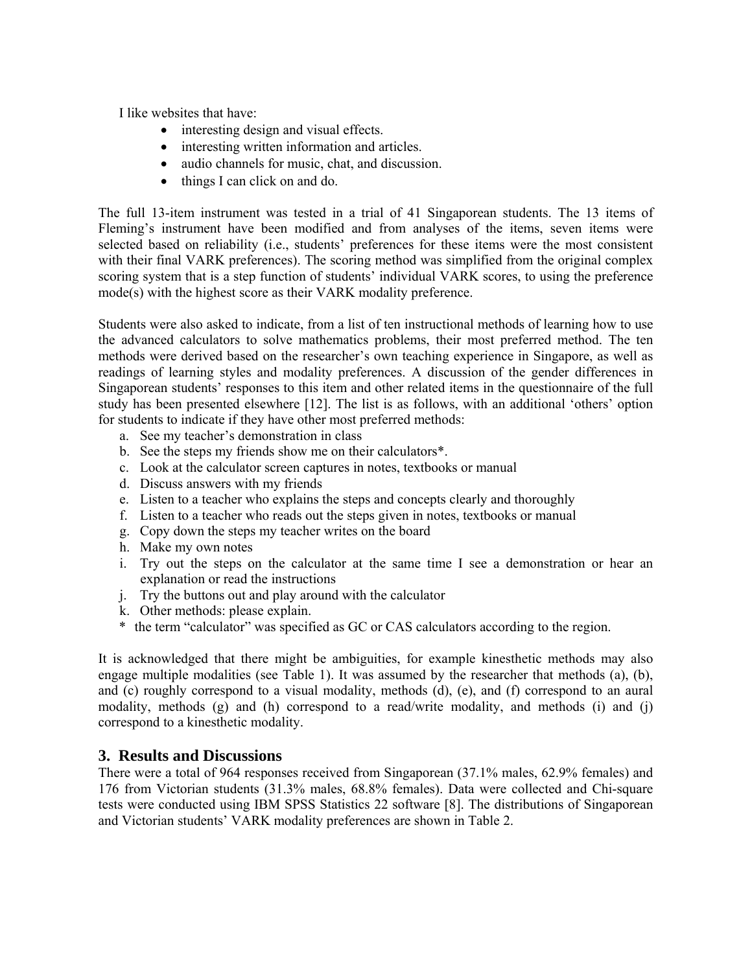I like websites that have:

- interesting design and visual effects.
- interesting written information and articles.
- audio channels for music, chat, and discussion.
- things I can click on and do.

The full 13-item instrument was tested in a trial of 41 Singaporean students. The 13 items of Fleming's instrument have been modified and from analyses of the items, seven items were selected based on reliability (i.e., students' preferences for these items were the most consistent with their final VARK preferences). The scoring method was simplified from the original complex scoring system that is a step function of students' individual VARK scores, to using the preference mode(s) with the highest score as their VARK modality preference.

Students were also asked to indicate, from a list of ten instructional methods of learning how to use the advanced calculators to solve mathematics problems, their most preferred method. The ten methods were derived based on the researcher's own teaching experience in Singapore, as well as readings of learning styles and modality preferences. A discussion of the gender differences in Singaporean students' responses to this item and other related items in the questionnaire of the full study has been presented elsewhere [12]. The list is as follows, with an additional 'others' option for students to indicate if they have other most preferred methods:

- a. See my teacher's demonstration in class
- b. See the steps my friends show me on their calculators\*.
- c. Look at the calculator screen captures in notes, textbooks or manual
- d. Discuss answers with my friends
- e. Listen to a teacher who explains the steps and concepts clearly and thoroughly
- f. Listen to a teacher who reads out the steps given in notes, textbooks or manual
- g. Copy down the steps my teacher writes on the board
- h. Make my own notes
- i. Try out the steps on the calculator at the same time I see a demonstration or hear an explanation or read the instructions
- j. Try the buttons out and play around with the calculator
- k. Other methods: please explain.
- \* the term "calculator" was specified as GC or CAS calculators according to the region.

It is acknowledged that there might be ambiguities, for example kinesthetic methods may also engage multiple modalities (see Table 1). It was assumed by the researcher that methods (a), (b), and (c) roughly correspond to a visual modality, methods (d), (e), and (f) correspond to an aural modality, methods (g) and (h) correspond to a read/write modality, and methods (i) and (j) correspond to a kinesthetic modality.

### **3. Results and Discussions**

There were a total of 964 responses received from Singaporean (37.1% males, 62.9% females) and 176 from Victorian students (31.3% males, 68.8% females). Data were collected and Chi-square tests were conducted using IBM SPSS Statistics 22 software [8]. The distributions of Singaporean and Victorian students' VARK modality preferences are shown in Table 2.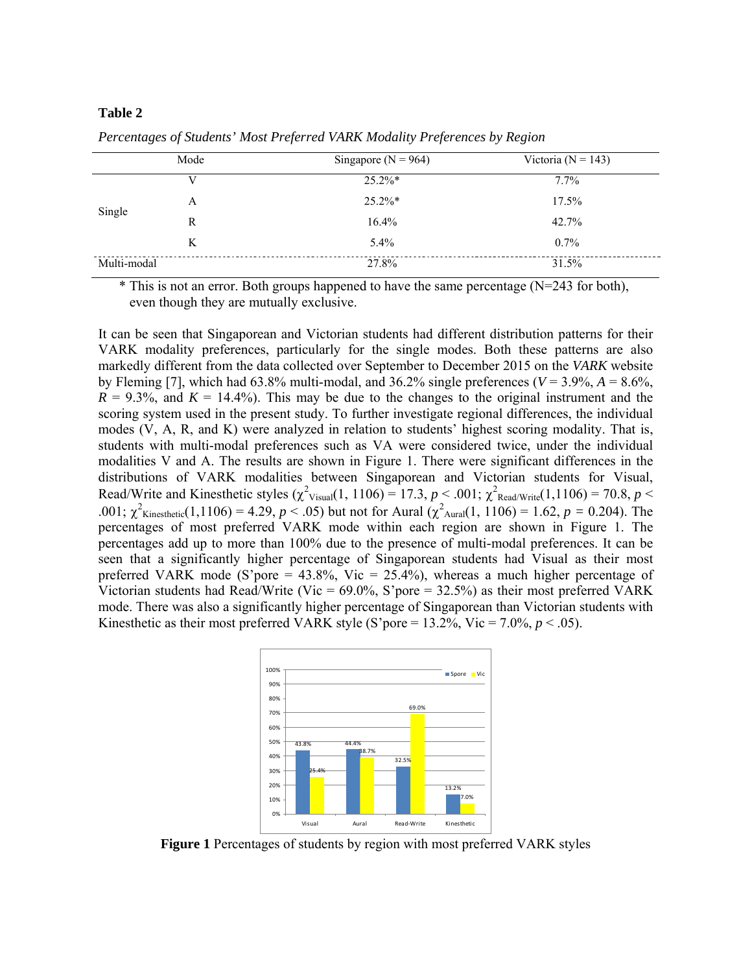#### **Table 2**

|             | Mode | Singapore ( $N = 964$ ) | Victoria ( $N = 143$ ) |
|-------------|------|-------------------------|------------------------|
| Single      |      | $25.2\%*$               | $7.7\%$                |
|             | A    | $25.2\%*$               | $17.5\%$               |
|             | R    | $16.4\%$                | 42.7%                  |
|             | K    | $5.4\%$                 | $0.7\%$                |
| Multi-modal |      | 27.8%                   | 31.5%                  |

*Percentages of Students' Most Preferred VARK Modality Preferences by Region*

\* This is not an error. Both groups happened to have the same percentage (N=243 for both), even though they are mutually exclusive.

It can be seen that Singaporean and Victorian students had different distribution patterns for their VARK modality preferences, particularly for the single modes. Both these patterns are also markedly different from the data collected over September to December 2015 on the *VARK* website by Fleming [7], which had  $63.8\%$  multi-modal, and  $36.2\%$  single preferences ( $V = 3.9\%, A = 8.6\%,$  $R = 9.3\%$ , and  $K = 14.4\%$ ). This may be due to the changes to the original instrument and the scoring system used in the present study. To further investigate regional differences, the individual modes (V, A, R, and K) were analyzed in relation to students' highest scoring modality. That is, students with multi-modal preferences such as VA were considered twice, under the individual modalities V and A. The results are shown in Figure 1. There were significant differences in the distributions of VARK modalities between Singaporean and Victorian students for Visual, Read/Write and Kinesthetic styles  $(\chi^2_{\text{Visual}}(1, 1106) = 17.3, p < .001; \chi^2_{\text{ReadWrite}}(1, 1106) = 70.8, p < .001$ .001;  $\chi^2$ <sub>Kinesthetic</sub>(1,1106) = 4.29, *p* < .05) but not for Aural ( $\chi^2$ <sub>Aural</sub>(1, 1106) = 1.62, *p* = 0.204). The percentages of most preferred VARK mode within each region are shown in Figure 1. The percentages add up to more than 100% due to the presence of multi-modal preferences. It can be seen that a significantly higher percentage of Singaporean students had Visual as their most preferred VARK mode (S'pore =  $43.8\%$ , Vic =  $25.4\%$ ), whereas a much higher percentage of Victorian students had Read/Write (Vic =  $69.0\%$ , S'pore = 32.5%) as their most preferred VARK mode. There was also a significantly higher percentage of Singaporean than Victorian students with Kinesthetic as their most preferred VARK style (S'pore =  $13.2\%$ , Vic =  $7.0\%$ ,  $p < .05$ ).



**Figure 1** Percentages of students by region with most preferred VARK styles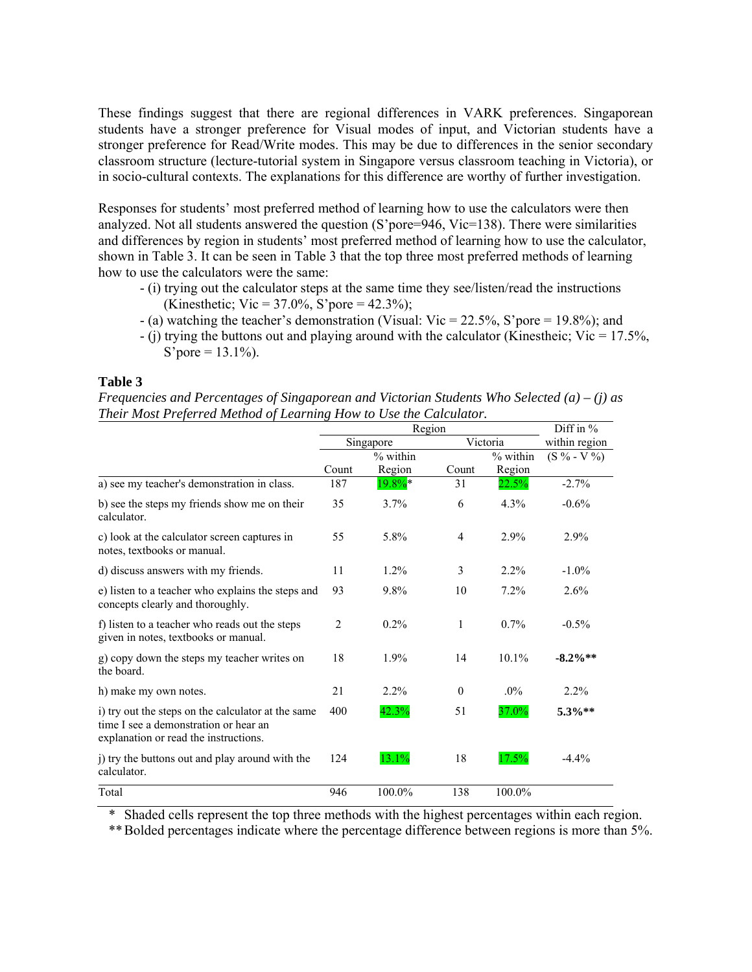These findings suggest that there are regional differences in VARK preferences. Singaporean students have a stronger preference for Visual modes of input, and Victorian students have a stronger preference for Read/Write modes. This may be due to differences in the senior secondary classroom structure (lecture-tutorial system in Singapore versus classroom teaching in Victoria), or in socio-cultural contexts. The explanations for this difference are worthy of further investigation.

Responses for students' most preferred method of learning how to use the calculators were then analyzed. Not all students answered the question (S'pore=946, Vic=138). There were similarities and differences by region in students' most preferred method of learning how to use the calculator, shown in Table 3. It can be seen in Table 3 that the top three most preferred methods of learning how to use the calculators were the same:

- (i) trying out the calculator steps at the same time they see/listen/read the instructions (Kinesthetic; Vic = 37.0%, S'pore = 42.3%);
- (a) watching the teacher's demonstration (Visual: Vic = 22.5%, S'pore = 19.8%); and
- $\sim$  (i) trying the buttons out and playing around with the calculator (Kinestheic; Vic = 17.5%, S'pore =  $13.1\%$ ).

#### **Table 3**

| Frequencies and Percentages of Singaporean and Victorian Students Who Selected (a) – (j) as |  |
|---------------------------------------------------------------------------------------------|--|
| Their Most Preferred Method of Learning How to Use the Calculator.                          |  |

|                                                                                                                                      | Region    |          |          |          | Diff in %            |
|--------------------------------------------------------------------------------------------------------------------------------------|-----------|----------|----------|----------|----------------------|
|                                                                                                                                      | Singapore |          | Victoria |          | within region        |
|                                                                                                                                      |           | % within |          | % within | $(S \ \%$ - V $\%$ ) |
|                                                                                                                                      | Count     | Region   | Count    | Region   |                      |
| a) see my teacher's demonstration in class.                                                                                          | 187       | $19.8\%$ | 31       | 22.5%    | $-2.7%$              |
| b) see the steps my friends show me on their<br>calculator.                                                                          | 35        | 3.7%     | 6        | $4.3\%$  | $-0.6%$              |
| c) look at the calculator screen captures in<br>notes, textbooks or manual.                                                          | 55        | 5.8%     | 4        | 2.9%     | 2.9%                 |
| d) discuss answers with my friends.                                                                                                  | 11        | $1.2\%$  | 3        | $2.2\%$  | $-1.0\%$             |
| e) listen to a teacher who explains the steps and<br>concepts clearly and thoroughly.                                                | 93        | 9.8%     | 10       | 7.2%     | 2.6%                 |
| f) listen to a teacher who reads out the steps<br>given in notes, textbooks or manual.                                               | 2         | $0.2\%$  | 1        | $0.7\%$  | $-0.5\%$             |
| g) copy down the steps my teacher writes on<br>the board.                                                                            | 18        | 1.9%     | 14       | 10.1%    | $-8.2\%**$           |
| h) make my own notes.                                                                                                                | 21        | $2.2\%$  | $\theta$ | $.0\%$   | 2.2%                 |
| i) try out the steps on the calculator at the same<br>time I see a demonstration or hear an<br>explanation or read the instructions. | 400       | 42.3%    | 51       | 37.0%    | 5.3%**               |
| j) try the buttons out and play around with the<br>calculator.                                                                       | 124       | 13.1%    | 18       | 17.5%    | $-4.4%$              |
| Total                                                                                                                                | 946       | 100.0%   | 138      | 100.0%   |                      |

\* Shaded cells represent the top three methods with the highest percentages within each region.

\*\* Bolded percentages indicate where the percentage difference between regions is more than 5%.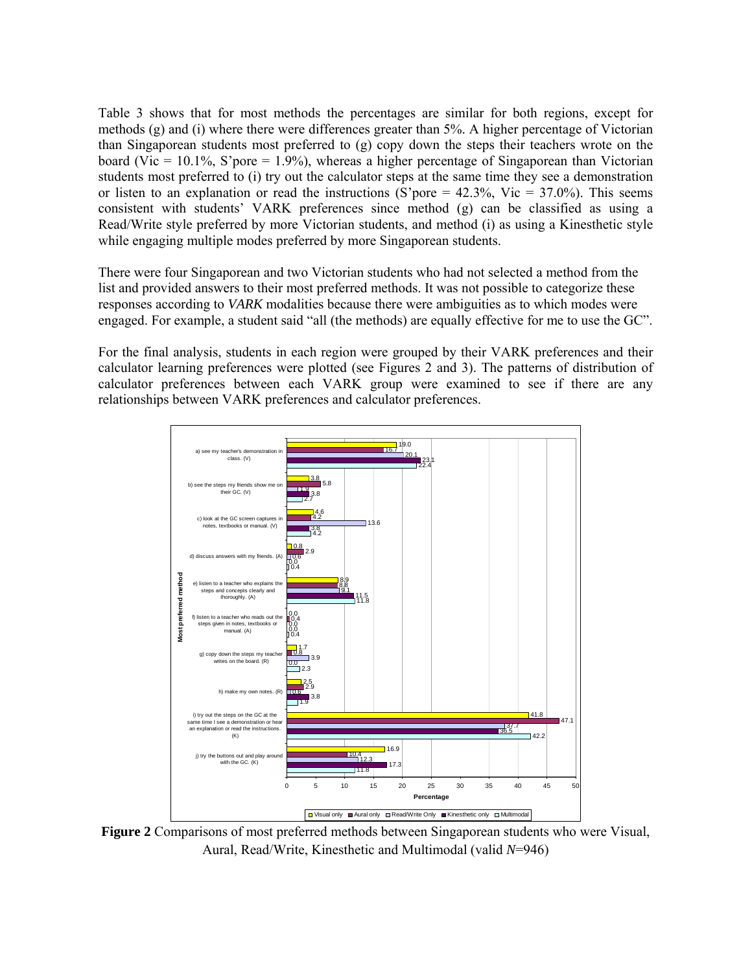Table 3 shows that for most methods the percentages are similar for both regions, except for methods  $(g)$  and  $(i)$  where there were differences greater than 5%. A higher percentage of Victorian than Singaporean students most preferred to (g) copy down the steps their teachers wrote on the board (Vic = 10.1%, S'pore = 1.9%), whereas a higher percentage of Singaporean than Victorian students most preferred to (i) try out the calculator steps at the same time they see a demonstration or listen to an explanation or read the instructions (S'pore =  $42.3\%$ , Vic =  $37.0\%$ ). This seems consistent with students' VARK preferences since method (g) can be classified as using a Read/Write style preferred by more Victorian students, and method (i) as using a Kinesthetic style while engaging multiple modes preferred by more Singaporean students.

There were four Singaporean and two Victorian students who had not selected a method from the list and provided answers to their most preferred methods. It was not possible to categorize these responses according to *VARK* modalities because there were ambiguities as to which modes were engaged. For example, a student said "all (the methods) are equally effective for me to use the GC".

For the final analysis, students in each region were grouped by their VARK preferences and their calculator learning preferences were plotted (see Figures 2 and 3). The patterns of distribution of calculator preferences between each VARK group were examined to see if there are any relationships between VARK preferences and calculator preferences.



**Figure 2** Comparisons of most preferred methods between Singaporean students who were Visual, Aural, Read/Write, Kinesthetic and Multimodal (valid *N*=946)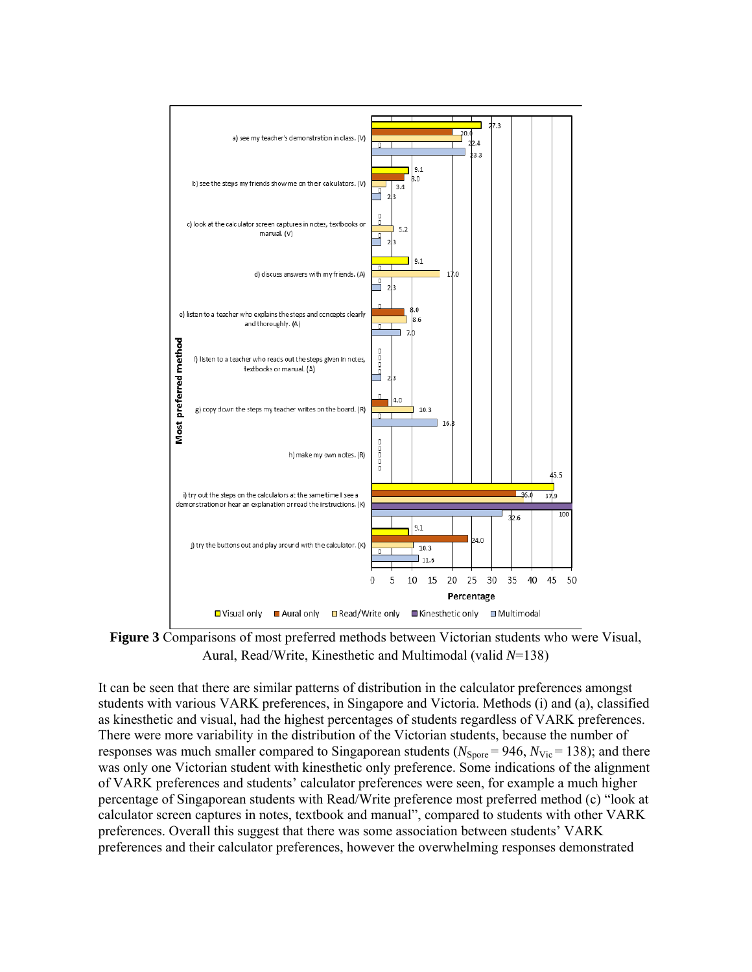

**Figure 3** Comparisons of most preferred methods between Victorian students who were Visual, Aural, Read/Write, Kinesthetic and Multimodal (valid *N*=138)

It can be seen that there are similar patterns of distribution in the calculator preferences amongst students with various VARK preferences, in Singapore and Victoria. Methods (i) and (a), classified as kinesthetic and visual, had the highest percentages of students regardless of VARK preferences. There were more variability in the distribution of the Victorian students, because the number of responses was much smaller compared to Singaporean students ( $N_{\text{Spore}} = 946$ ,  $N_{\text{Vic}} = 138$ ); and there was only one Victorian student with kinesthetic only preference. Some indications of the alignment of VARK preferences and students' calculator preferences were seen, for example a much higher percentage of Singaporean students with Read/Write preference most preferred method (c) "look at calculator screen captures in notes, textbook and manual", compared to students with other VARK preferences. Overall this suggest that there was some association between students' VARK preferences and their calculator preferences, however the overwhelming responses demonstrated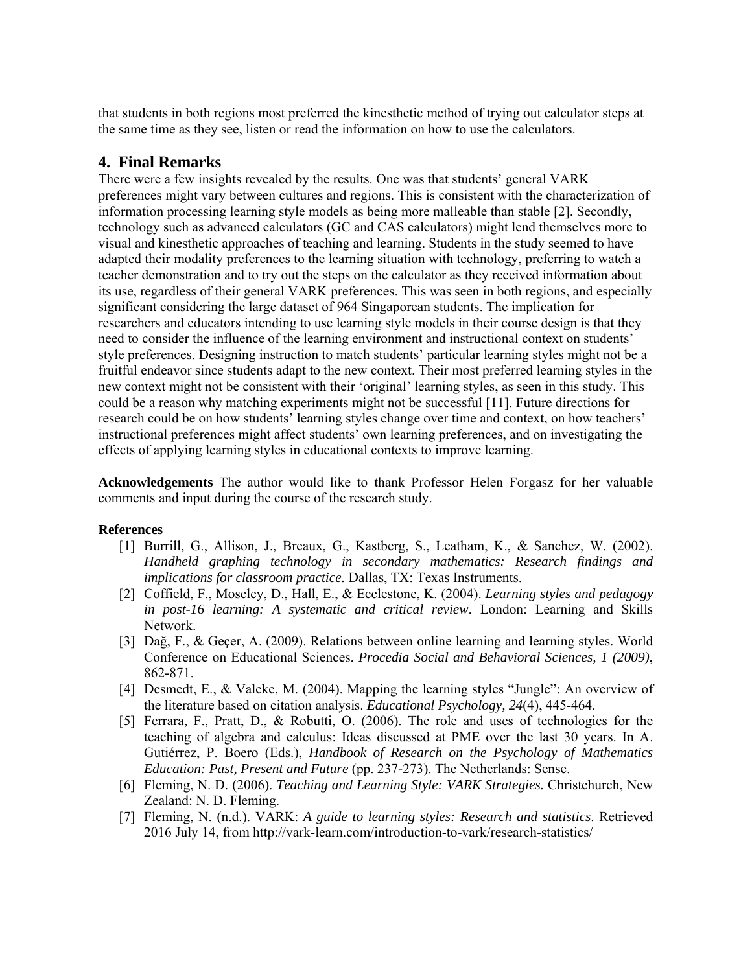that students in both regions most preferred the kinesthetic method of trying out calculator steps at the same time as they see, listen or read the information on how to use the calculators.

## **4. Final Remarks**

There were a few insights revealed by the results. One was that students' general VARK preferences might vary between cultures and regions. This is consistent with the characterization of information processing learning style models as being more malleable than stable [2]. Secondly, technology such as advanced calculators (GC and CAS calculators) might lend themselves more to visual and kinesthetic approaches of teaching and learning. Students in the study seemed to have adapted their modality preferences to the learning situation with technology, preferring to watch a teacher demonstration and to try out the steps on the calculator as they received information about its use, regardless of their general VARK preferences. This was seen in both regions, and especially significant considering the large dataset of 964 Singaporean students. The implication for researchers and educators intending to use learning style models in their course design is that they need to consider the influence of the learning environment and instructional context on students' style preferences. Designing instruction to match students' particular learning styles might not be a fruitful endeavor since students adapt to the new context. Their most preferred learning styles in the new context might not be consistent with their 'original' learning styles, as seen in this study. This could be a reason why matching experiments might not be successful [11]. Future directions for research could be on how students' learning styles change over time and context, on how teachers' instructional preferences might affect students' own learning preferences, and on investigating the effects of applying learning styles in educational contexts to improve learning.

**Acknowledgements** The author would like to thank Professor Helen Forgasz for her valuable comments and input during the course of the research study.

#### **References**

- [1] Burrill, G., Allison, J., Breaux, G., Kastberg, S., Leatham, K., & Sanchez, W. (2002). *Handheld graphing technology in secondary mathematics: Research findings and implications for classroom practice.* Dallas, TX: Texas Instruments.
- [2] Coffield, F., Moseley, D., Hall, E., & Ecclestone, K. (2004). *Learning styles and pedagogy in post-16 learning: A systematic and critical review*. London: Learning and Skills Network.
- [3] Dağ, F., & Geçer, A. (2009). Relations between online learning and learning styles. World Conference on Educational Sciences. *Procedia Social and Behavioral Sciences, 1 (2009)*, 862-871.
- [4] Desmedt, E., & Valcke, M. (2004). Mapping the learning styles "Jungle": An overview of the literature based on citation analysis. *Educational Psychology, 24*(4), 445-464.
- [5] Ferrara, F., Pratt, D., & Robutti, O. (2006). The role and uses of technologies for the teaching of algebra and calculus: Ideas discussed at PME over the last 30 years. In A. Gutiérrez, P. Boero (Eds.), *Handbook of Research on the Psychology of Mathematics Education: Past, Present and Future* (pp. 237-273). The Netherlands: Sense.
- [6] Fleming, N. D. (2006). *Teaching and Learning Style: VARK Strategies.* Christchurch, New Zealand: N. D. Fleming.
- [7] Fleming, N. (n.d.). VARK: *A guide to learning styles: Research and statistics*. Retrieved 2016 July 14, from http://vark-learn.com/introduction-to-vark/research-statistics/